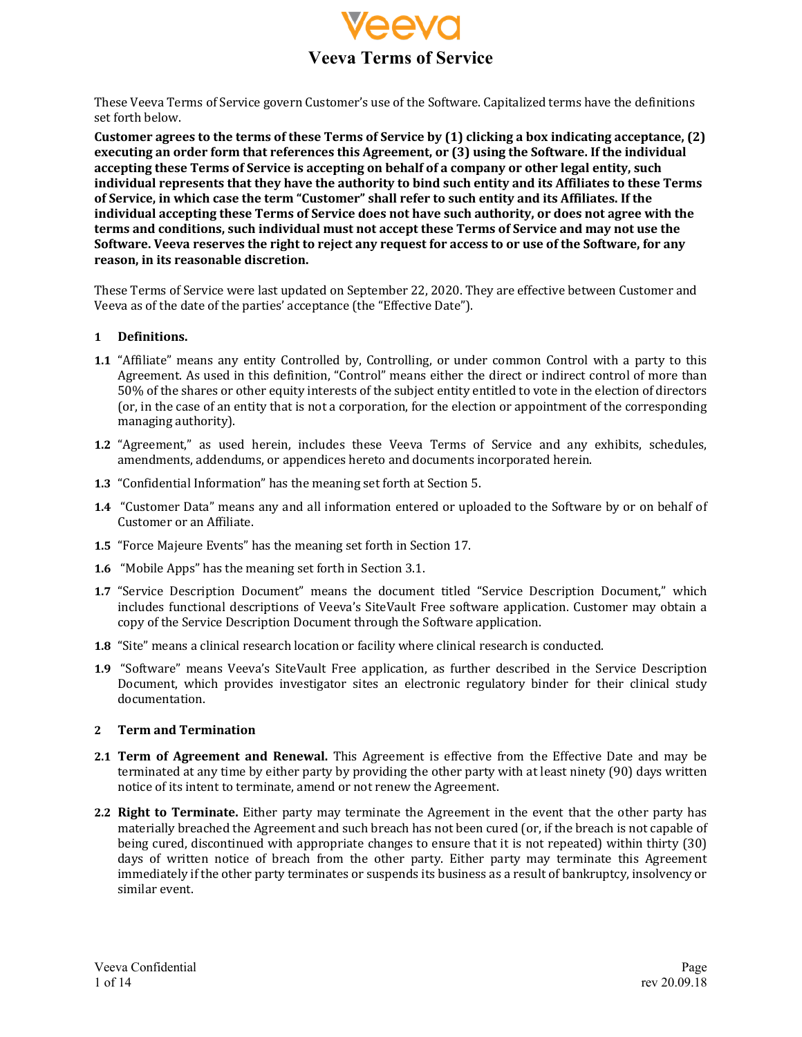

These Veeva Terms of Service govern Customer's use of the Software. Capitalized terms have the definitions set forth below.

Customer agrees to the terms of these Terms of Service by (1) clicking a box indicating acceptance, (2) executing an order form that references this Agreement, or (3) using the Software. If the individual accepting these Terms of Service is accepting on behalf of a company or other legal entity, such individual represents that they have the authority to bind such entity and its Affiliates to these Terms of Service, in which case the term "Customer" shall refer to such entity and its Affiliates. If the **individual accepting these Terms of Service does not have such authority, or does not agree with the terms and conditions, such individual must not accept these Terms of Service and may not use the** Software. Veeva reserves the right to reject any request for access to or use of the Software, for any reason, in its reasonable discretion.

These Terms of Service were last updated on September 22, 2020. They are effective between Customer and Veeva as of the date of the parties' acceptance (the "Effective Date").

#### **1 Definitions.**

- **1.1** "Affiliate" means any entity Controlled by, Controlling, or under common Control with a party to this Agreement. As used in this definition, "Control" means either the direct or indirect control of more than 50% of the shares or other equity interests of the subject entity entitled to vote in the election of directors (or, in the case of an entity that is not a corporation, for the election or appointment of the corresponding managing authority).
- **1.2** "Agreement," as used herein, includes these Veeva Terms of Service and any exhibits, schedules, amendments, addendums, or appendices hereto and documents incorporated herein.
- **1.3** "Confidential Information" has the meaning set forth at Section 5.
- **1.4** "Customer Data" means any and all information entered or uploaded to the Software by or on behalf of Customer or an Affiliate.
- **1.5** "Force Majeure Events" has the meaning set forth in Section 17.
- **1.6** "Mobile Apps" has the meaning set forth in Section 3.1.
- **1.7** "Service Description Document" means the document titled "Service Description Document," which includes functional descriptions of Veeva's SiteVault Free software application. Customer may obtain a copy of the Service Description Document through the Software application.
- **1.8** "Site" means a clinical research location or facility where clinical research is conducted.
- **1.9** "Software" means Veeva's SiteVault Free application, as further described in the Service Description Document, which provides investigator sites an electronic regulatory binder for their clinical study documentation.

#### **2 Term and Termination**

- **2.1 Term of Agreement and Renewal.** This Agreement is effective from the Effective Date and may be terminated at any time by either party by providing the other party with at least ninety (90) days written notice of its intent to terminate, amend or not renew the Agreement.
- **2.2 Right to Terminate.** Either party may terminate the Agreement in the event that the other party has materially breached the Agreement and such breach has not been cured (or, if the breach is not capable of being cured, discontinued with appropriate changes to ensure that it is not repeated) within thirty (30) days of written notice of breach from the other party. Either party may terminate this Agreement immediately if the other party terminates or suspends its business as a result of bankruptcy, insolvency or similar event.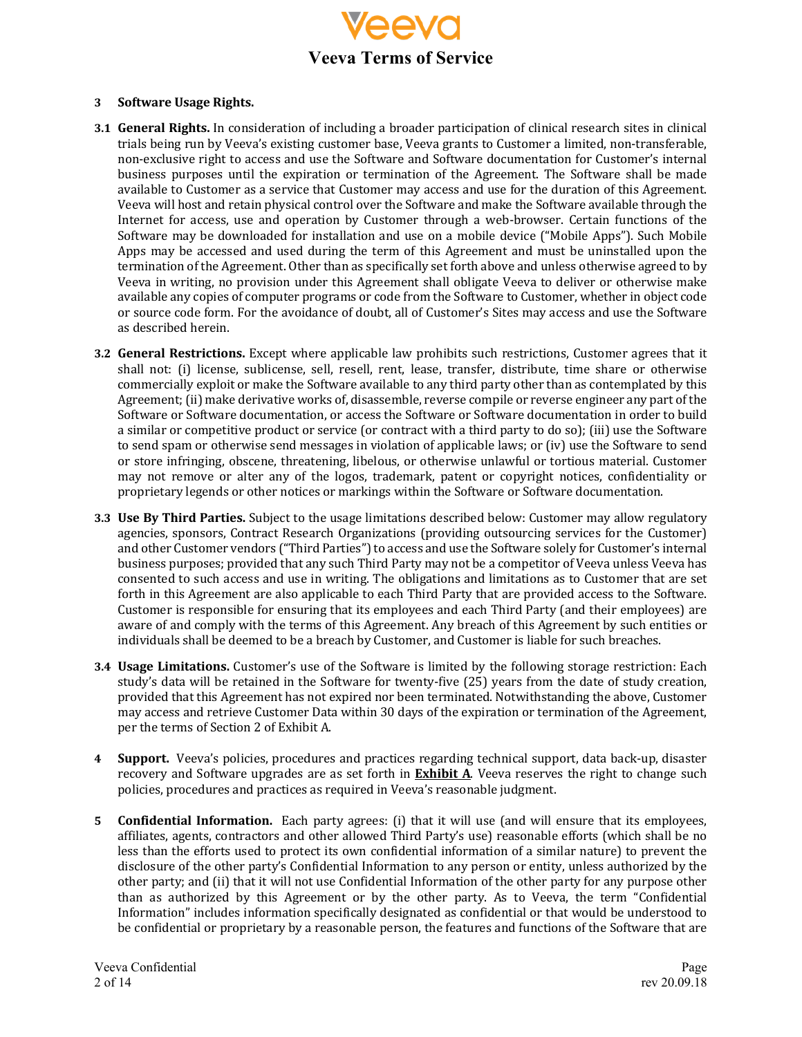

#### **3 Software Usage Rights.**

- **3.1 General Rights.** In consideration of including a broader participation of clinical research sites in clinical trials being run by Veeva's existing customer base, Veeva grants to Customer a limited, non-transferable, non-exclusive right to access and use the Software and Software documentation for Customer's internal business purposes until the expiration or termination of the Agreement. The Software shall be made available to Customer as a service that Customer may access and use for the duration of this Agreement. Veeva will host and retain physical control over the Software and make the Software available through the Internet for access, use and operation by Customer through a web-browser. Certain functions of the Software may be downloaded for installation and use on a mobile device ("Mobile Apps"). Such Mobile Apps may be accessed and used during the term of this Agreement and must be uninstalled upon the termination of the Agreement. Other than as specifically set forth above and unless otherwise agreed to by Veeva in writing, no provision under this Agreement shall obligate Veeva to deliver or otherwise make available any copies of computer programs or code from the Software to Customer, whether in object code or source code form. For the avoidance of doubt, all of Customer's Sites may access and use the Software as described herein.
- **3.2 General Restrictions.** Except where applicable law prohibits such restrictions, Customer agrees that it shall not: (i) license, sublicense, sell, resell, rent, lease, transfer, distribute, time share or otherwise commercially exploit or make the Software available to any third party other than as contemplated by this Agreement; (ii) make derivative works of, disassemble, reverse compile or reverse engineer any part of the Software or Software documentation, or access the Software or Software documentation in order to build a similar or competitive product or service (or contract with a third party to do so); (iii) use the Software to send spam or otherwise send messages in violation of applicable laws; or (iv) use the Software to send or store infringing, obscene, threatening, libelous, or otherwise unlawful or tortious material. Customer may not remove or alter any of the logos, trademark, patent or copyright notices, confidentiality or proprietary legends or other notices or markings within the Software or Software documentation.
- **3.3** Use By Third Parties. Subject to the usage limitations described below: Customer may allow regulatory agencies, sponsors, Contract Research Organizations (providing outsourcing services for the Customer) and other Customer vendors ("Third Parties") to access and use the Software solely for Customer's internal business purposes; provided that any such Third Party may not be a competitor of Veeva unless Veeva has consented to such access and use in writing. The obligations and limitations as to Customer that are set forth in this Agreement are also applicable to each Third Party that are provided access to the Software. Customer is responsible for ensuring that its employees and each Third Party (and their employees) are aware of and comply with the terms of this Agreement. Any breach of this Agreement by such entities or individuals shall be deemed to be a breach by Customer, and Customer is liable for such breaches.
- **3.4 Usage Limitations.** Customer's use of the Software is limited by the following storage restriction: Each study's data will be retained in the Software for twenty-five (25) years from the date of study creation, provided that this Agreement has not expired nor been terminated. Notwithstanding the above, Customer may access and retrieve Customer Data within 30 days of the expiration or termination of the Agreement, per the terms of Section 2 of Exhibit A.
- **4 Support.** Veeva's policies, procedures and practices regarding technical support, data back-up, disaster recovery and Software upgrades are as set forth in **Exhibit A**. Veeva reserves the right to change such policies, procedures and practices as required in Veeva's reasonable judgment.
- **5 Confidential Information.** Each party agrees: (i) that it will use (and will ensure that its employees, affiliates, agents, contractors and other allowed Third Party's use) reasonable efforts (which shall be no less than the efforts used to protect its own confidential information of a similar nature) to prevent the disclosure of the other party's Confidential Information to any person or entity, unless authorized by the other party; and (ii) that it will not use Confidential Information of the other party for any purpose other than as authorized by this Agreement or by the other party. As to Veeva, the term "Confidential Information" includes information specifically designated as confidential or that would be understood to be confidential or proprietary by a reasonable person, the features and functions of the Software that are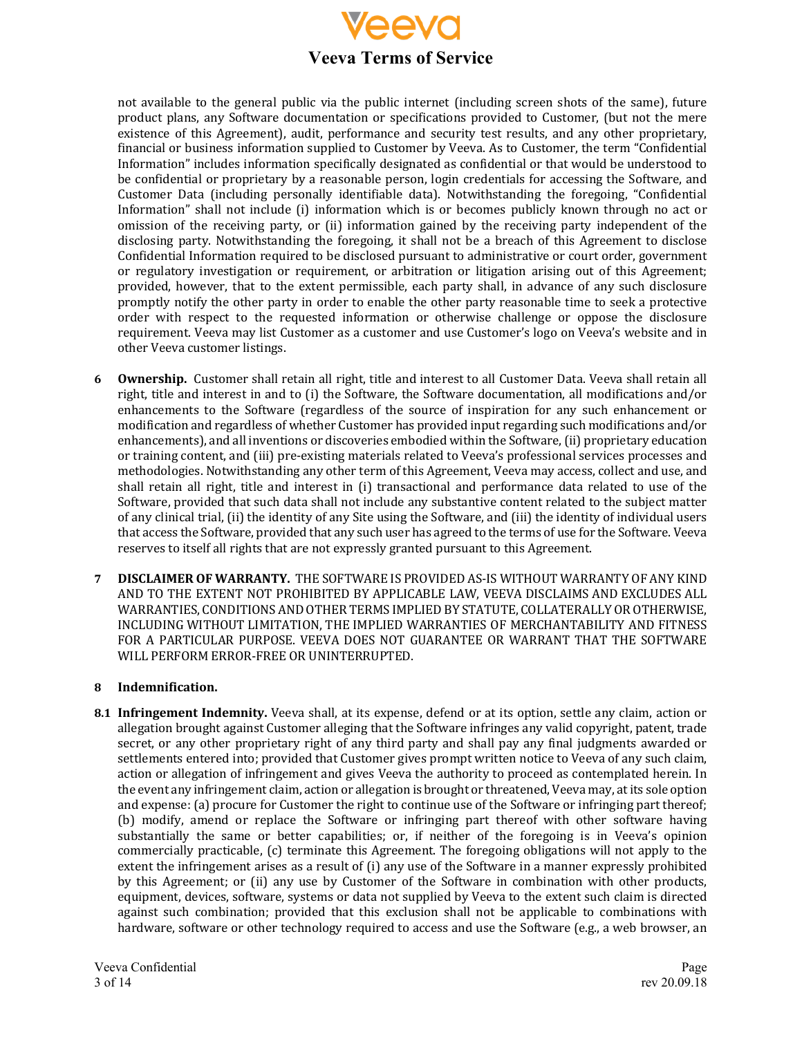

not available to the general public via the public internet (including screen shots of the same), future product plans, any Software documentation or specifications provided to Customer, (but not the mere existence of this Agreement), audit, performance and security test results, and any other proprietary, financial or business information supplied to Customer by Veeva. As to Customer, the term "Confidential Information" includes information specifically designated as confidential or that would be understood to be confidential or proprietary by a reasonable person, login credentials for accessing the Software, and Customer Data (including personally identifiable data). Notwithstanding the foregoing, "Confidential Information" shall not include (i) information which is or becomes publicly known through no act or omission of the receiving party, or (ii) information gained by the receiving party independent of the disclosing party. Notwithstanding the foregoing, it shall not be a breach of this Agreement to disclose Confidential Information required to be disclosed pursuant to administrative or court order, government or regulatory investigation or requirement, or arbitration or litigation arising out of this Agreement; provided, however, that to the extent permissible, each party shall, in advance of any such disclosure promptly notify the other party in order to enable the other party reasonable time to seek a protective order with respect to the requested information or otherwise challenge or oppose the disclosure requirement. Veeva may list Customer as a customer and use Customer's logo on Veeva's website and in other Veeva customer listings.

- **6 Ownership.** Customer shall retain all right, title and interest to all Customer Data. Veeva shall retain all right, title and interest in and to (i) the Software, the Software documentation, all modifications and/or enhancements to the Software (regardless of the source of inspiration for any such enhancement or modification and regardless of whether Customer has provided input regarding such modifications and/or enhancements), and all inventions or discoveries embodied within the Software, (ii) proprietary education or training content, and (iii) pre-existing materials related to Veeva's professional services processes and methodologies. Notwithstanding any other term of this Agreement, Veeva may access, collect and use, and shall retain all right, title and interest in  $(i)$  transactional and performance data related to use of the Software, provided that such data shall not include any substantive content related to the subject matter of any clinical trial, (ii) the identity of any Site using the Software, and (iii) the identity of individual users that access the Software, provided that any such user has agreed to the terms of use for the Software. Veeva reserves to itself all rights that are not expressly granted pursuant to this Agreement.
- **7 <b>DISCLAIMER OF WARRANTY.** THE SOFTWARE IS PROVIDED AS-IS WITHOUT WARRANTY OF ANY KIND AND TO THE EXTENT NOT PROHIBITED BY APPLICABLE LAW, VEEVA DISCLAIMS AND EXCLUDES ALL WARRANTIES, CONDITIONS AND OTHER TERMS IMPLIED BY STATUTE, COLLATERALLY OR OTHERWISE, INCLUDING WITHOUT LIMITATION, THE IMPLIED WARRANTIES OF MERCHANTABILITY AND FITNESS FOR A PARTICULAR PURPOSE. VEEVA DOES NOT GUARANTEE OR WARRANT THAT THE SOFTWARE WILL PERFORM ERROR-FREE OR UNINTERRUPTED.

# **8 Indemnification.**

**8.1 Infringement Indemnity.** Veeva shall, at its expense, defend or at its option, settle any claim, action or allegation brought against Customer alleging that the Software infringes any valid copyright, patent, trade secret, or any other proprietary right of any third party and shall pay any final judgments awarded or settlements entered into; provided that Customer gives prompt written notice to Veeva of any such claim, action or allegation of infringement and gives Veeva the authority to proceed as contemplated herein. In the event any infringement claim, action or allegation is brought or threatened, Veeva may, at its sole option and expense: (a) procure for Customer the right to continue use of the Software or infringing part thereof; (b) modify, amend or replace the Software or infringing part thereof with other software having substantially the same or better capabilities; or, if neither of the foregoing is in Veeva's opinion commercially practicable, (c) terminate this Agreement. The foregoing obligations will not apply to the extent the infringement arises as a result of  $(i)$  any use of the Software in a manner expressly prohibited by this Agreement; or (ii) any use by Customer of the Software in combination with other products, equipment, devices, software, systems or data not supplied by Veeva to the extent such claim is directed against such combination; provided that this exclusion shall not be applicable to combinations with hardware, software or other technology required to access and use the Software (e.g., a web browser, an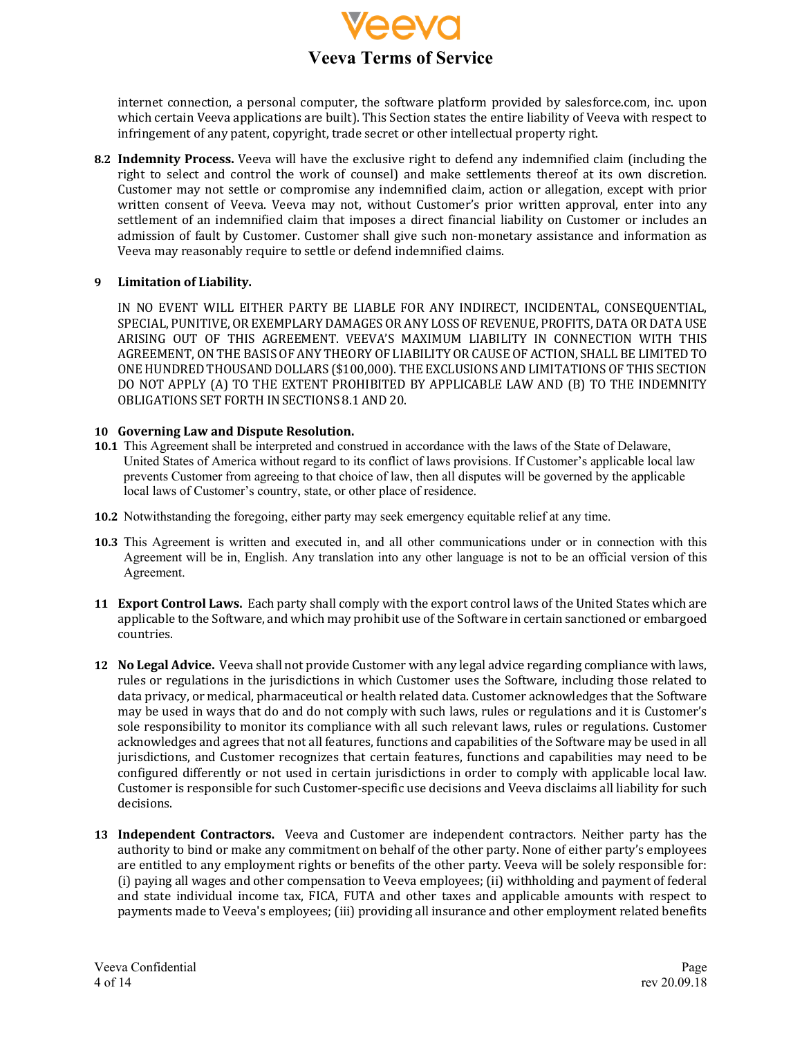

internet connection, a personal computer, the software platform provided by salesforce.com, inc. upon which certain Veeva applications are built). This Section states the entire liability of Veeva with respect to infringement of any patent, copyright, trade secret or other intellectual property right.

**8.2 Indemnity Process.** Veeva will have the exclusive right to defend any indemnified claim (including the right to select and control the work of counsel) and make settlements thereof at its own discretion. Customer may not settle or compromise any indemnified claim, action or allegation, except with prior written consent of Veeva. Veeva may not, without Customer's prior written approval, enter into any settlement of an indemnified claim that imposes a direct financial liability on Customer or includes an admission of fault by Customer. Customer shall give such non-monetary assistance and information as Veeva may reasonably require to settle or defend indemnified claims.

#### **9 Limitation of Liability.**

IN NO EVENT WILL EITHER PARTY BE LIABLE FOR ANY INDIRECT, INCIDENTAL, CONSEQUENTIAL, SPECIAL, PUNITIVE, OR EXEMPLARY DAMAGES OR ANY LOSS OF REVENUE, PROFITS, DATA OR DATA USE ARISING OUT OF THIS AGREEMENT. VEEVA'S MAXIMUM LIABILITY IN CONNECTION WITH THIS AGREEMENT, ONTHE BASIS OF ANY THEORY OF LIABILITY OR CAUSE OF ACTION, SHALL BE LIMITED TO ONE HUNDRED THOUSAND DOLLARS (\$100,000). THE EXCLUSIONS AND LIMITATIONS OF THIS SECTION DO NOT APPLY (A) TO THE EXTENT PROHIBITED BY APPLICABLE LAW AND (B) TO THE INDEMNITY OBLIGATIONS SET FORTHINSECTIONS 8.1 AND 20.

#### 10 Governing Law and Dispute Resolution.

- **10.1** This Agreement shall be interpreted and construed in accordance with the laws of the State of Delaware, United States of America without regard to its conflict of laws provisions. If Customer's applicable local law prevents Customer from agreeing to that choice of law, then all disputes will be governed by the applicable local laws of Customer's country, state, or other place of residence.
- **10.2** Notwithstanding the foregoing, either party may seek emergency equitable relief at any time.
- **10.3** This Agreement is written and executed in, and all other communications under or in connection with this Agreement will be in, English. Any translation into any other language is not to be an official version of this Agreement.
- **11 Export Control Laws.** Each party shall comply with the export control laws of the United States which are applicable to the Software, and which may prohibit use of the Software in certain sanctioned or embargoed countries.
- **12 No Legal Advice.** Veeva shall not provide Customer with any legal advice regarding compliance with laws, rules or regulations in the jurisdictions in which Customer uses the Software, including those related to data privacy, or medical, pharmaceutical or health related data. Customer acknowledges that the Software may be used in ways that do and do not comply with such laws, rules or regulations and it is Customer's sole responsibility to monitor its compliance with all such relevant laws, rules or regulations. Customer acknowledges and agrees that not all features, functions and capabilities of the Software may be used in all jurisdictions, and Customer recognizes that certain features, functions and capabilities may need to be configured differently or not used in certain jurisdictions in order to comply with applicable local law. Customer is responsible for such Customer-specific use decisions and Veeva disclaims all liability for such decisions.
- **13** Independent Contractors. Veeva and Customer are independent contractors. Neither party has the authority to bind or make any commitment on behalf of the other party. None of either party's employees are entitled to any employment rights or benefits of the other party. Veeva will be solely responsible for: (i) paying all wages and other compensation to Veeva employees; (ii) withholding and payment of federal and state individual income tax, FICA, FUTA and other taxes and applicable amounts with respect to payments made to Veeva's employees; (iii) providing all insurance and other employment related benefits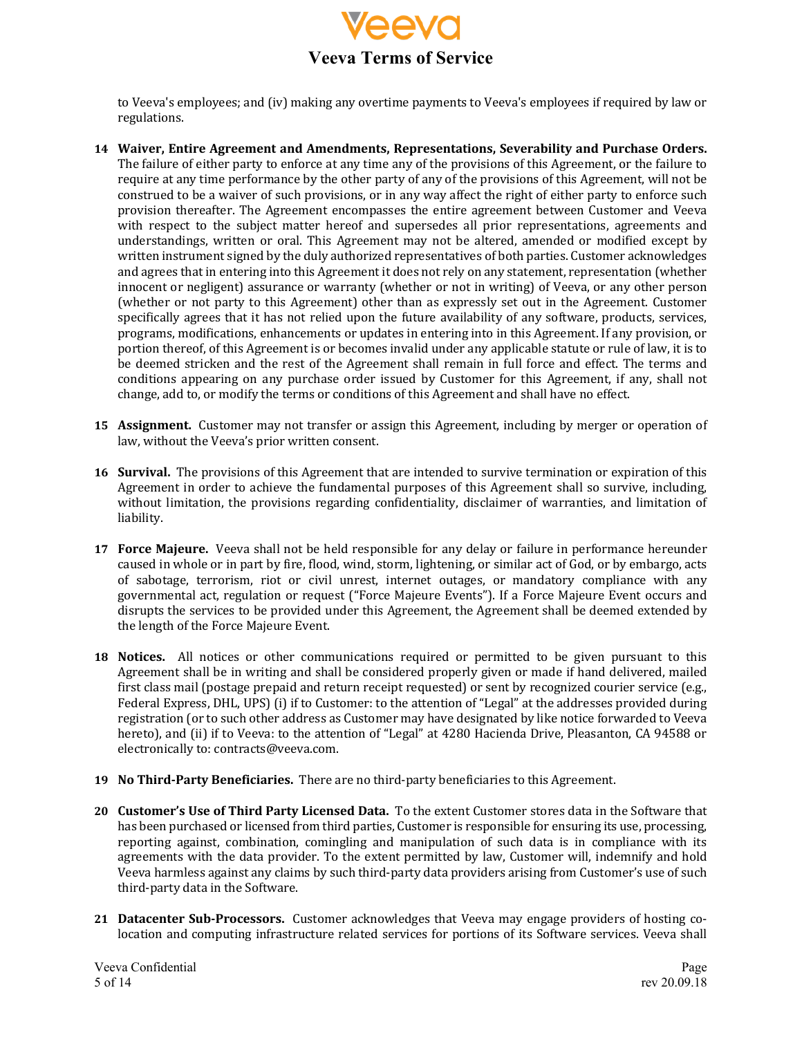

to Veeva's employees; and (iv) making any overtime payments to Veeva's employees if required by law or regulations.

- 14 Waiver, Entire Agreement and Amendments, Representations, Severability and Purchase Orders. The failure of either party to enforce at any time any of the provisions of this Agreement, or the failure to require at any time performance by the other party of any of the provisions of this Agreement, will not be construed to be a waiver of such provisions, or in any way affect the right of either party to enforce such provision thereafter. The Agreement encompasses the entire agreement between Customer and Veeva with respect to the subject matter hereof and supersedes all prior representations, agreements and understandings, written or oral. This Agreement may not be altered, amended or modified except by written instrument signed by the duly authorized representatives of both parties. Customer acknowledges and agrees that in entering into this Agreement it does not rely on any statement, representation (whether innocent or negligent) assurance or warranty (whether or not in writing) of Veeva, or any other person (whether or not party to this Agreement) other than as expressly set out in the Agreement. Customer specifically agrees that it has not relied upon the future availability of any software, products, services, programs, modifications, enhancements or updates in entering into in this Agreement. If any provision, or portion thereof, of this Agreement is or becomes invalid under any applicable statute or rule of law, it is to be deemed stricken and the rest of the Agreement shall remain in full force and effect. The terms and conditions appearing on any purchase order issued by Customer for this Agreement, if any, shall not change, add to, or modify the terms or conditions of this Agreement and shall have no effect.
- **15 Assignment.** Customer may not transfer or assign this Agreement, including by merger or operation of law, without the Veeva's prior written consent.
- **16 Survival.** The provisions of this Agreement that are intended to survive termination or expiration of this Agreement in order to achieve the fundamental purposes of this Agreement shall so survive, including, without limitation, the provisions regarding confidentiality, disclaimer of warranties, and limitation of liability.
- **17 Force Majeure.** Veeva shall not be held responsible for any delay or failure in performance hereunder caused in whole or in part by fire, flood, wind, storm, lightening, or similar act of God, or by embargo, acts of sabotage, terrorism, riot or civil unrest, internet outages, or mandatory compliance with any governmental act, regulation or request ("Force Majeure Events"). If a Force Majeure Event occurs and disrupts the services to be provided under this Agreement, the Agreement shall be deemed extended by the length of the Force Majeure Event.
- **18 Notices.** All notices or other communications required or permitted to be given pursuant to this Agreement shall be in writing and shall be considered properly given or made if hand delivered, mailed first class mail (postage prepaid and return receipt requested) or sent by recognized courier service (e.g., Federal Express, DHL, UPS) (i) if to Customer: to the attention of "Legal" at the addresses provided during registration (or to such other address as Customer may have designated by like notice forwarded to Veeva hereto), and (ii) if to Veeva: to the attention of "Legal" at 4280 Hacienda Drive, Pleasanton, CA 94588 or electronically to: contracts@veeva.com.
- **19 No Third-Party Beneficiaries.** There are no third-party beneficiaries to this Agreement.
- **20 Customer's Use of Third Party Licensed Data.** To the extent Customer stores data in the Software that has been purchased or licensed from third parties, Customer is responsible for ensuring its use, processing, reporting against, combination, comingling and manipulation of such data is in compliance with its agreements with the data provider. To the extent permitted by law, Customer will, indemnify and hold Veeva harmless against any claims by such third-party data providers arising from Customer's use of such third-party data in the Software.
- **21 Datacenter Sub-Processors.** Customer acknowledges that Veeva may engage providers of hosting colocation and computing infrastructure related services for portions of its Software services. Veeva shall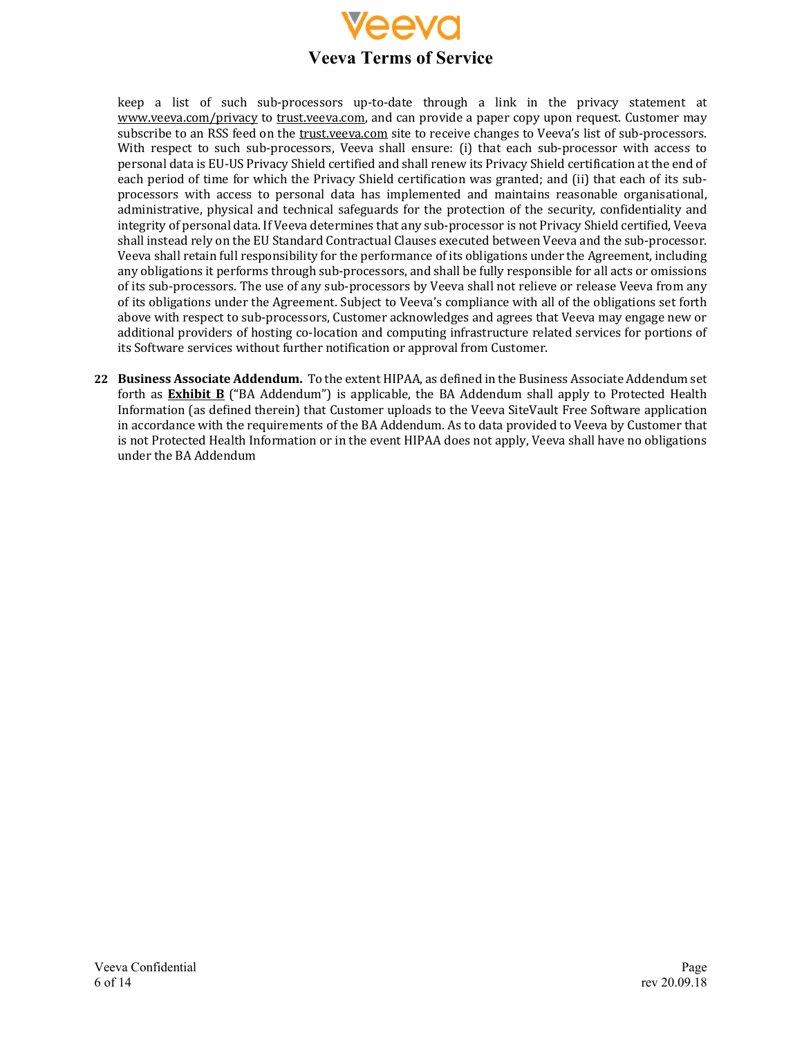

keep a list of such sub-processors up-to-date through a link in the privacy statement at www.veeva.com/privacy to trust.veeva.com, and can provide a paper copy upon request. Customer may subscribe to an RSS feed on the trust.veeva.com site to receive changes to Veeva's list of sub-processors. With respect to such sub-processors, Veeva shall ensure: (i) that each sub-processor with access to personal data is EU-US Privacy Shield certified and shall renew its Privacy Shield certification at the end of each period of time for which the Privacy Shield certification was granted; and (ii) that each of its subprocessors with access to personal data has implemented and maintains reasonable organisational, administrative, physical and technical safeguards for the protection of the security, confidentiality and integrity of personal data. If Veeva determines that any sub-processor is not Privacy Shield certified, Veeva shall instead rely on the EU Standard Contractual Clauses executed between Veeva and the sub-processor. Veeva shall retain full responsibility for the performance of its obligations under the Agreement, including any obligations it performs through sub-processors, and shall be fully responsible for all acts or omissions of its sub-processors. The use of any sub-processors by Veeva shall not relieve or release Veeva from any of its obligations under the Agreement. Subject to Veeva's compliance with all of the obligations set forth above with respect to sub-processors, Customer acknowledges and agrees that Veeva may engage new or additional providers of hosting co-location and computing infrastructure related services for portions of its Software services without further notification or approval from Customer.

**22 Business Associate Addendum.** To the extent HIPAA, as defined in the Business Associate Addendum set forth as **Exhibit B** ("BA Addendum") is applicable, the BA Addendum shall apply to Protected Health Information (as defined therein) that Customer uploads to the Veeva SiteVault Free Software application in accordance with the requirements of the BA Addendum. As to data provided to Veeva by Customer that is not Protected Health Information or in the event HIPAA does not apply, Veeva shall have no obligations under the BA Addendum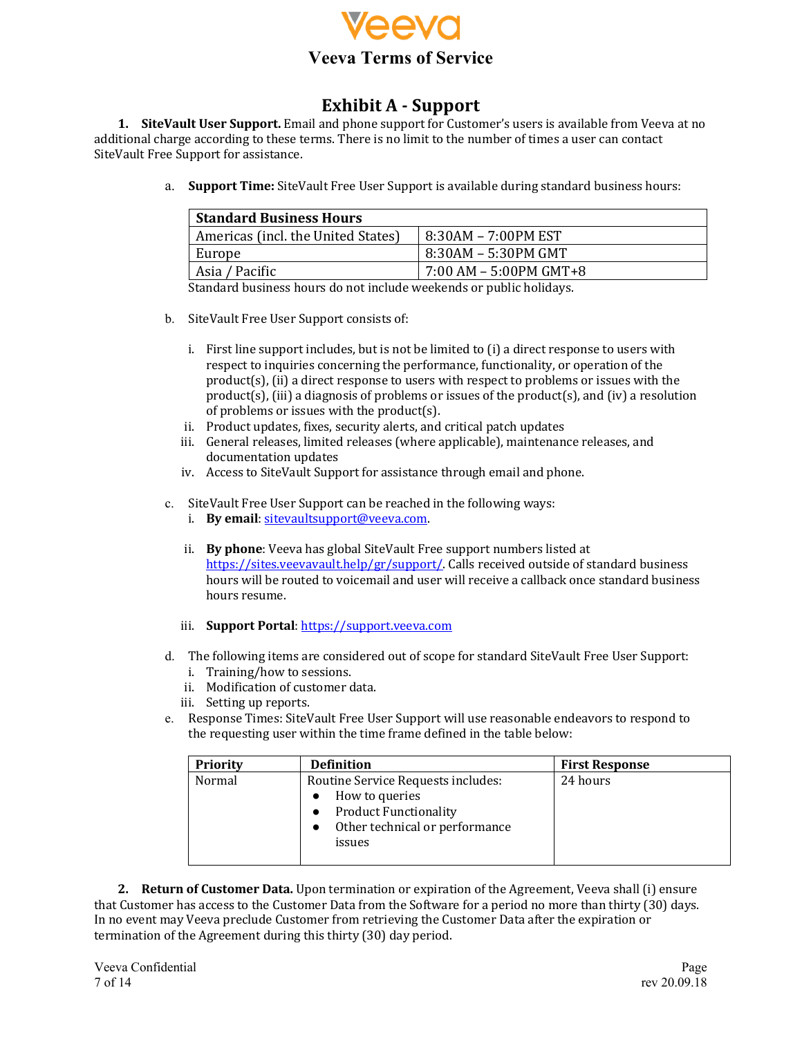

# **Exhibit A - Support**

**1. SiteVault User Support.** Email and phone support for Customer's users is available from Veeva at no additional charge according to these terms. There is no limit to the number of times a user can contact SiteVault Free Support for assistance.

a. **Support Time:** SiteVault Free User Support is available during standard business hours:

| <b>Standard Business Hours</b>     |                        |  |
|------------------------------------|------------------------|--|
| Americas (incl. the United States) | 8:30AM - 7:00PM EST    |  |
| Europe                             | 8:30AM – 5:30PM GMT    |  |
| Asia / Pacific                     | 7:00 AM - 5:00PM GMT+8 |  |

Standard business hours do not include weekends or public holidays.

- b. SiteVault Free User Support consists of:
	- i. First line support includes, but is not be limited to  $(i)$  a direct response to users with respect to inquiries concerning the performance, functionality, or operation of the product(s), (ii) a direct response to users with respect to problems or issues with the product(s), (iii) a diagnosis of problems or issues of the product(s), and (iv) a resolution of problems or issues with the product $(s)$ .
	- ii. Product updates, fixes, security alerts, and critical patch updates
	- iii. General releases, limited releases (where applicable), maintenance releases, and documentation updates
	- iv. Access to SiteVault Support for assistance through email and phone.
- c. SiteVault Free User Support can be reached in the following ways:
	- i. **By email**: sitevaultsupport@veeva.com.
	- ii. **By phone**: Veeva has global SiteVault Free support numbers listed at https://sites.veevavault.help/gr/support/. Calls received outside of standard business hours will be routed to voicemail and user will receive a callback once standard business hours resume.
	- iii. **Support Portal**: https://support.veeva.com
- d. The following items are considered out of scope for standard SiteVault Free User Support:
	- i. Training/how to sessions.
	- ii. Modification of customer data.
	- iii. Setting up reports.
- e. Response Times: SiteVault Free User Support will use reasonable endeavors to respond to the requesting user within the time frame defined in the table below:

| <b>Priority</b> | <b>Definition</b>                                                                                                                | <b>First Response</b> |
|-----------------|----------------------------------------------------------------------------------------------------------------------------------|-----------------------|
| Normal          | Routine Service Requests includes:<br>How to queries<br><b>Product Functionality</b><br>Other technical or performance<br>issues | 24 hours              |

**2. Return of Customer Data.** Upon termination or expiration of the Agreement, Veeva shall (i) ensure that Customer has access to the Customer Data from the Software for a period no more than thirty (30) days. In no event may Veeva preclude Customer from retrieving the Customer Data after the expiration or termination of the Agreement during this thirty (30) day period.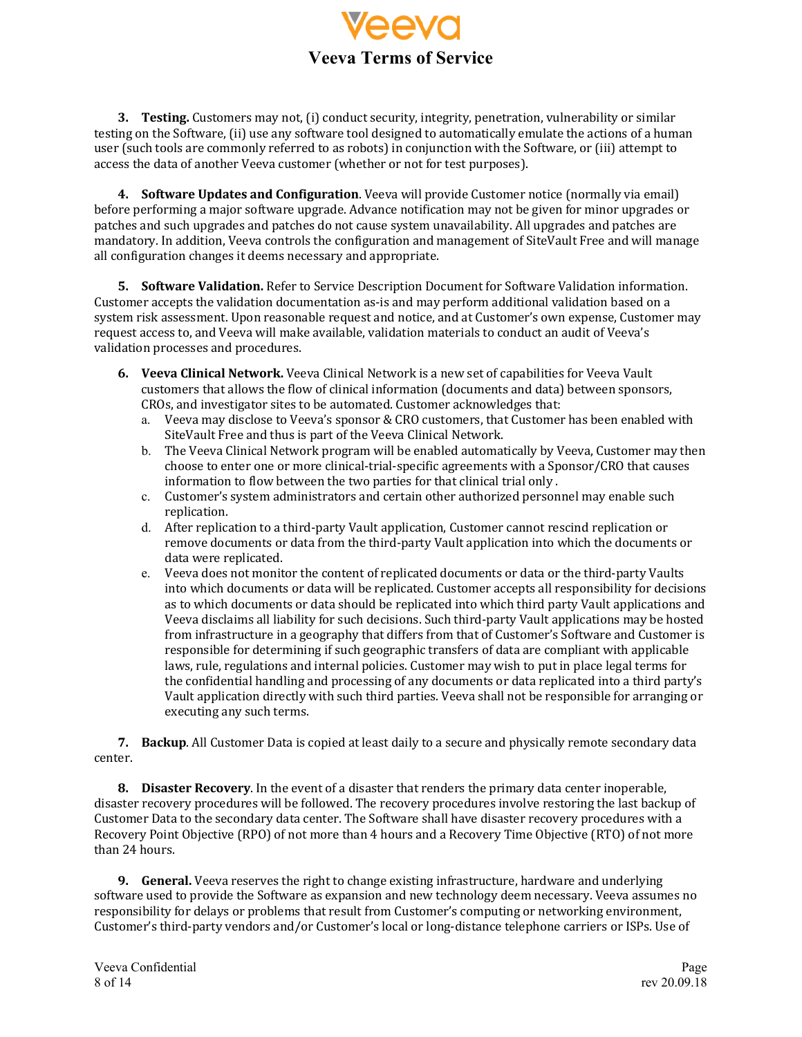

**3. Testing.** Customers may not, (i) conduct security, integrity, penetration, vulnerability or similar testing on the Software, (ii) use any software tool designed to automatically emulate the actions of a human user (such tools are commonly referred to as robots) in conjunction with the Software, or (iii) attempt to access the data of another Veeva customer (whether or not for test purposes).

4. **Software Updates and Configuration**. Veeva will provide Customer notice (normally via email) before performing a major software upgrade. Advance notification may not be given for minor upgrades or patches and such upgrades and patches do not cause system unavailability. All upgrades and patches are mandatory. In addition, Veeva controls the configuration and management of SiteVault Free and will manage all configuration changes it deems necessary and appropriate.

**5. Software Validation.** Refer to Service Description Document for Software Validation information. Customer accepts the validation documentation as-is and may perform additional validation based on a system risk assessment. Upon reasonable request and notice, and at Customer's own expense, Customer may request access to, and Veeva will make available, validation materials to conduct an audit of Veeva's validation processes and procedures.

- **6. Veeva Clinical Network.** Veeva Clinical Network is a new set of capabilities for Veeva Vault customers that allows the flow of clinical information (documents and data) between sponsors, CROs, and investigator sites to be automated. Customer acknowledges that:
	- a. Veeva may disclose to Veeva's sponsor & CRO customers, that Customer has been enabled with SiteVault Free and thus is part of the Veeva Clinical Network.
	- b. The Veeva Clinical Network program will be enabled automatically by Veeva, Customer may then choose to enter one or more clinical-trial-specific agreements with a Sponsor/CRO that causes information to flow between the two parties for that clinical trial only.
	- c. Customer's system administrators and certain other authorized personnel may enable such replication.
	- d. After replication to a third-party Vault application, Customer cannot rescind replication or remove documents or data from the third-party Vault application into which the documents or data were replicated.
	- e. Veeva does not monitor the content of replicated documents or data or the third-party Vaults into which documents or data will be replicated. Customer accepts all responsibility for decisions as to which documents or data should be replicated into which third party Vault applications and Veeva disclaims all liability for such decisions. Such third-party Vault applications may be hosted from infrastructure in a geography that differs from that of Customer's Software and Customer is responsible for determining if such geographic transfers of data are compliant with applicable laws, rule, regulations and internal policies. Customer may wish to put in place legal terms for the confidential handling and processing of any documents or data replicated into a third party's Vault application directly with such third parties. Veeva shall not be responsible for arranging or executing any such terms.

**7. Backup**. All Customer Data is copied at least daily to a secure and physically remote secondary data center. 

**8. Disaster Recovery**. In the event of a disaster that renders the primary data center inoperable, disaster recovery procedures will be followed. The recovery procedures involve restoring the last backup of Customer Data to the secondary data center. The Software shall have disaster recovery procedures with a Recovery Point Objective (RPO) of not more than 4 hours and a Recovery Time Objective (RTO) of not more than 24 hours.

**9. General.** Veeva reserves the right to change existing infrastructure, hardware and underlying software used to provide the Software as expansion and new technology deem necessary. Veeva assumes no responsibility for delays or problems that result from Customer's computing or networking environment, Customer's third-party vendors and/or Customer's local or long-distance telephone carriers or ISPs. Use of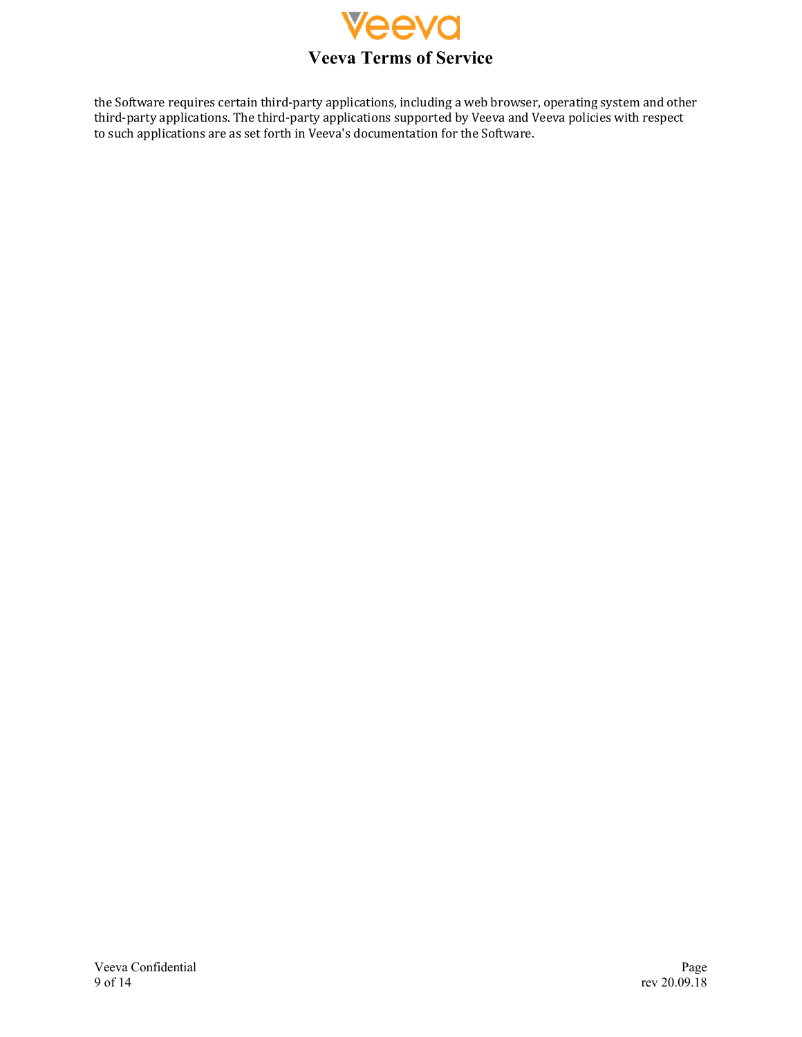

the Software requires certain third-party applications, including a web browser, operating system and other third-party applications. The third-party applications supported by Veeva and Veeva policies with respect to such applications are as set forth in Veeva's documentation for the Software.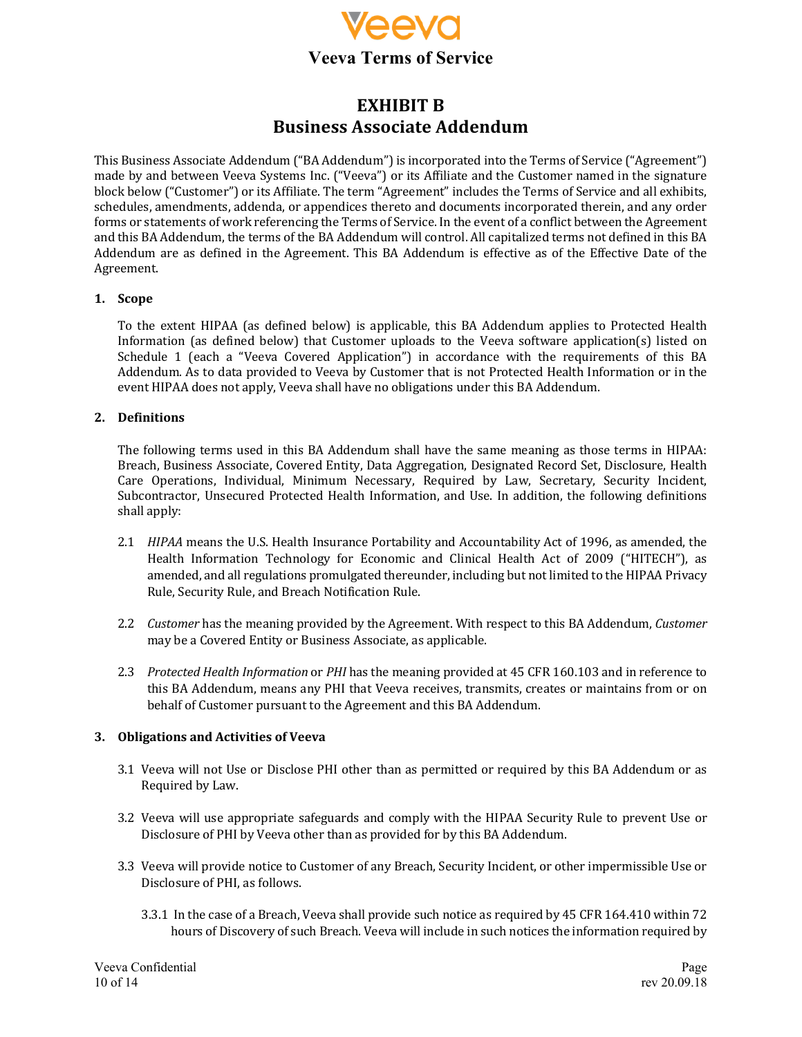

# **EXHIBIT B Business Associate Addendum**

This Business Associate Addendum ("BA Addendum") is incorporated into the Terms of Service ("Agreement") made by and between Veeva Systems Inc. ("Veeva") or its Affiliate and the Customer named in the signature block below ("Customer") or its Affiliate. The term "Agreement" includes the Terms of Service and all exhibits, schedules, amendments, addenda, or appendices thereto and documents incorporated therein, and any order forms or statements of work referencing the Terms of Service. In the event of a conflict between the Agreement and this BA Addendum, the terms of the BA Addendum will control. All capitalized terms not defined in this BA Addendum are as defined in the Agreement. This BA Addendum is effective as of the Effective Date of the Agreement.

#### **1. Scope**

To the extent HIPAA (as defined below) is applicable, this BA Addendum applies to Protected Health Information (as defined below) that Customer uploads to the Veeva software application(s) listed on Schedule 1 (each a "Veeva Covered Application") in accordance with the requirements of this BA Addendum. As to data provided to Veeva by Customer that is not Protected Health Information or in the event HIPAA does not apply, Veeva shall have no obligations under this BA Addendum.

# **2. Definitions**

The following terms used in this BA Addendum shall have the same meaning as those terms in HIPAA: Breach, Business Associate, Covered Entity, Data Aggregation, Designated Record Set, Disclosure, Health Care Operations, Individual, Minimum Necessary, Required by Law, Secretary, Security Incident, Subcontractor, Unsecured Protected Health Information, and Use. In addition, the following definitions shall apply:

- 2.1 *HIPAA* means the U.S. Health Insurance Portability and Accountability Act of 1996, as amended, the Health Information Technology for Economic and Clinical Health Act of 2009 ("HITECH"), as amended, and all regulations promulgated thereunder, including but not limited to the HIPAA Privacy Rule, Security Rule, and Breach Notification Rule.
- 2.2 *Customer* has the meaning provided by the Agreement. With respect to this BA Addendum, *Customer* may be a Covered Entity or Business Associate, as applicable.
- 2.3 *Protected Health Information* or *PHI* has the meaning provided at 45 CFR 160.103 and in reference to this BA Addendum, means any PHI that Veeva receives, transmits, creates or maintains from or on behalf of Customer pursuant to the Agreement and this BA Addendum.

# **3. Obligations and Activities of Veeva**

- 3.1 Veeva will not Use or Disclose PHI other than as permitted or required by this BA Addendum or as Required by Law.
- 3.2 Veeva will use appropriate safeguards and comply with the HIPAA Security Rule to prevent Use or Disclosure of PHI by Veeva other than as provided for by this BA Addendum.
- 3.3 Veeva will provide notice to Customer of any Breach, Security Incident, or other impermissible Use or Disclosure of PHI, as follows.
	- 3.3.1 In the case of a Breach, Veeva shall provide such notice as required by 45 CFR 164.410 within 72 hours of Discovery of such Breach. Veeva will include in such notices the information required by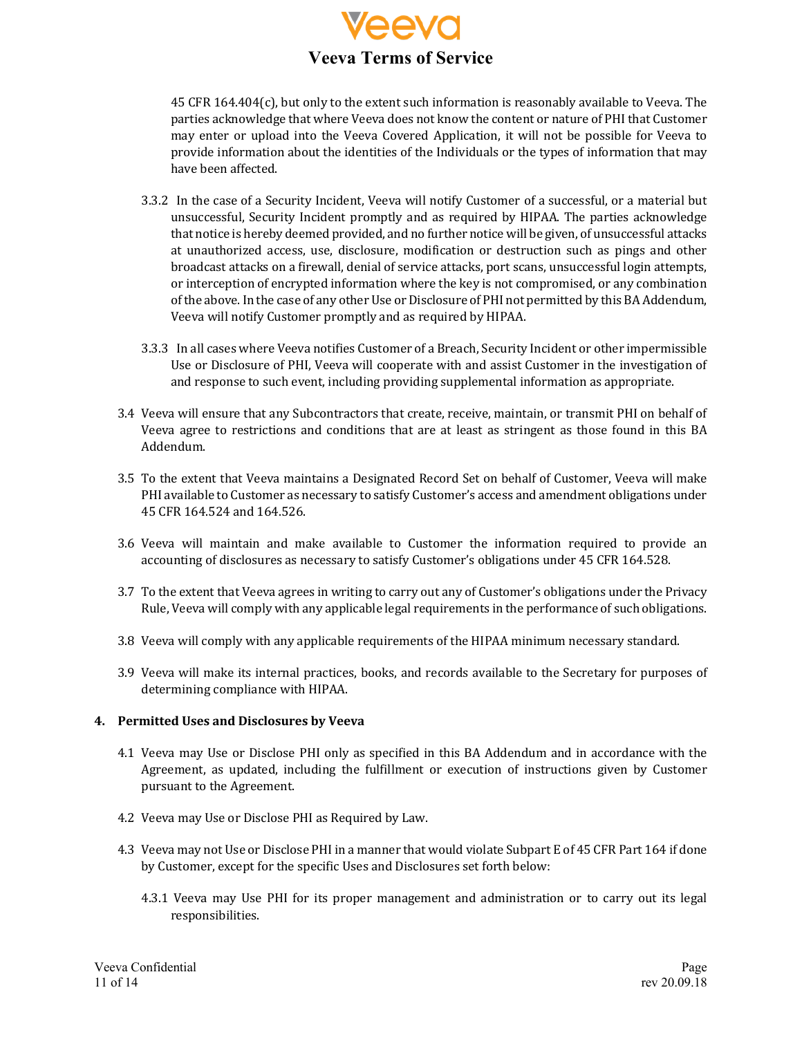

45 CFR 164.404(c), but only to the extent such information is reasonably available to Veeva. The parties acknowledge that where Veeva does not know the content or nature of PHI that Customer may enter or upload into the Veeva Covered Application, it will not be possible for Veeva to provide information about the identities of the Individuals or the types of information that may have been affected.

- 3.3.2 In the case of a Security Incident, Veeva will notify Customer of a successful, or a material but unsuccessful, Security Incident promptly and as required by HIPAA. The parties acknowledge that notice is hereby deemed provided, and no further notice will be given, of unsuccessful attacks at unauthorized access, use, disclosure, modification or destruction such as pings and other broadcast attacks on a firewall, denial of service attacks, port scans, unsuccessful login attempts, or interception of encrypted information where the key is not compromised, or any combination of the above. In the case of any other Use or Disclosure of PHI not permitted by this BA Addendum, Veeva will notify Customer promptly and as required by HIPAA.
- 3.3.3 In all cases where Veeva notifies Customer of a Breach, Security Incident or other impermissible Use or Disclosure of PHI, Veeva will cooperate with and assist Customer in the investigation of and response to such event, including providing supplemental information as appropriate.
- 3.4 Veeva will ensure that any Subcontractors that create, receive, maintain, or transmit PHI on behalf of Veeva agree to restrictions and conditions that are at least as stringent as those found in this BA Addendum.
- 3.5 To the extent that Veeva maintains a Designated Record Set on behalf of Customer, Veeva will make PHI available to Customer as necessary to satisfy Customer's access and amendment obligations under 45 CFR 164.524 and 164.526.
- 3.6 Veeva will maintain and make available to Customer the information required to provide an accounting of disclosures as necessary to satisfy Customer's obligations under 45 CFR 164.528.
- 3.7 To the extent that Veeva agrees in writing to carry out any of Customer's obligations under the Privacy Rule, Veeva will comply with any applicable legal requirements in the performance of such obligations.
- 3.8 Veeva will comply with any applicable requirements of the HIPAA minimum necessary standard.
- 3.9 Veeva will make its internal practices, books, and records available to the Secretary for purposes of determining compliance with HIPAA.

# **4. Permitted Uses and Disclosures by Veeva**

- 4.1 Veeva may Use or Disclose PHI only as specified in this BA Addendum and in accordance with the Agreement, as updated, including the fulfillment or execution of instructions given by Customer pursuant to the Agreement.
- 4.2 Veeva may Use or Disclose PHI as Required by Law.
- 4.3 Veeva may not Use or Disclose PHI in a manner that would violate Subpart E of 45 CFR Part 164 if done by Customer, except for the specific Uses and Disclosures set forth below:
	- 4.3.1 Veeva may Use PHI for its proper management and administration or to carry out its legal responsibilities.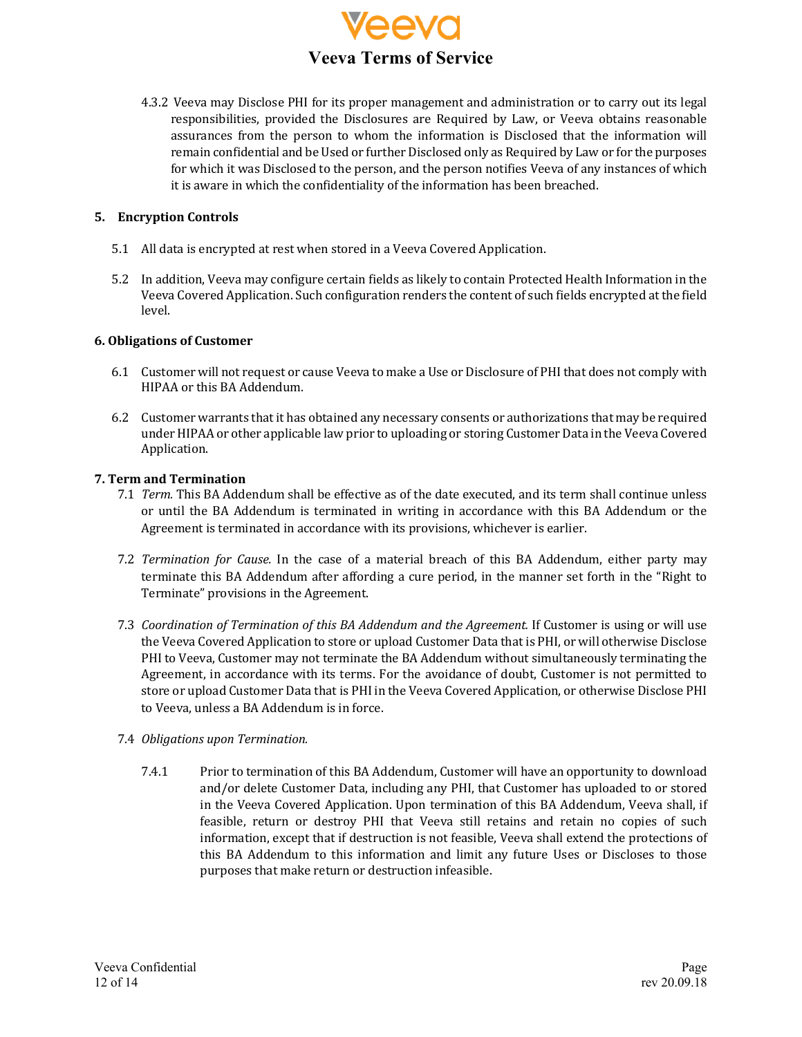

4.3.2 Veeva may Disclose PHI for its proper management and administration or to carry out its legal responsibilities, provided the Disclosures are Required by Law, or Veeva obtains reasonable assurances from the person to whom the information is Disclosed that the information will remain confidential and be Used or further Disclosed only as Required by Law or for the purposes for which it was Disclosed to the person, and the person notifies Veeva of any instances of which it is aware in which the confidentiality of the information has been breached.

# **5. Encryption Controls**

- 5.1 All data is encrypted at rest when stored in a Veeva Covered Application.
- 5.2 In addition, Veeva may configure certain fields as likely to contain Protected Health Information in the Veeva Covered Application. Such configuration renders the content of such fields encrypted at the field level.

# **6. Obligations of Customer**

- 6.1 Customer will not request or cause Veeva to make a Use or Disclosure of PHI that does not comply with HIPAA or this BA Addendum.
- 6.2 Customer warrants that it has obtained any necessary consents or authorizations that may be required under HIPAA or other applicable law prior to uploading or storing Customer Data in the Veeva Covered Application.

# **7. Term and Termination**

- 7.1 *Term*. This BA Addendum shall be effective as of the date executed, and its term shall continue unless or until the BA Addendum is terminated in writing in accordance with this BA Addendum or the Agreement is terminated in accordance with its provisions, whichever is earlier.
- 7.2 *Termination for Cause*. In the case of a material breach of this BA Addendum, either party may terminate this BA Addendum after affording a cure period, in the manner set forth in the "Right to Terminate" provisions in the Agreement.
- 7.3 *Coordination of Termination of this BA Addendum and the Agreement.* If Customer is using or will use the Veeva Covered Application to store or upload Customer Data that is PHI, or will otherwise Disclose PHI to Veeva, Customer may not terminate the BA Addendum without simultaneously terminating the Agreement, in accordance with its terms. For the avoidance of doubt, Customer is not permitted to store or upload Customer Data that is PHI in the Veeva Covered Application, or otherwise Disclose PHI to Veeva, unless a BA Addendum is in force.
- 7.4 *Obligations* upon Termination.
	- 7.4.1 Prior to termination of this BA Addendum, Customer will have an opportunity to download and/or delete Customer Data, including any PHI, that Customer has uploaded to or stored in the Veeva Covered Application. Upon termination of this BA Addendum, Veeva shall, if feasible, return or destroy PHI that Veeva still retains and retain no copies of such information, except that if destruction is not feasible, Veeva shall extend the protections of this BA Addendum to this information and limit any future Uses or Discloses to those purposes that make return or destruction infeasible.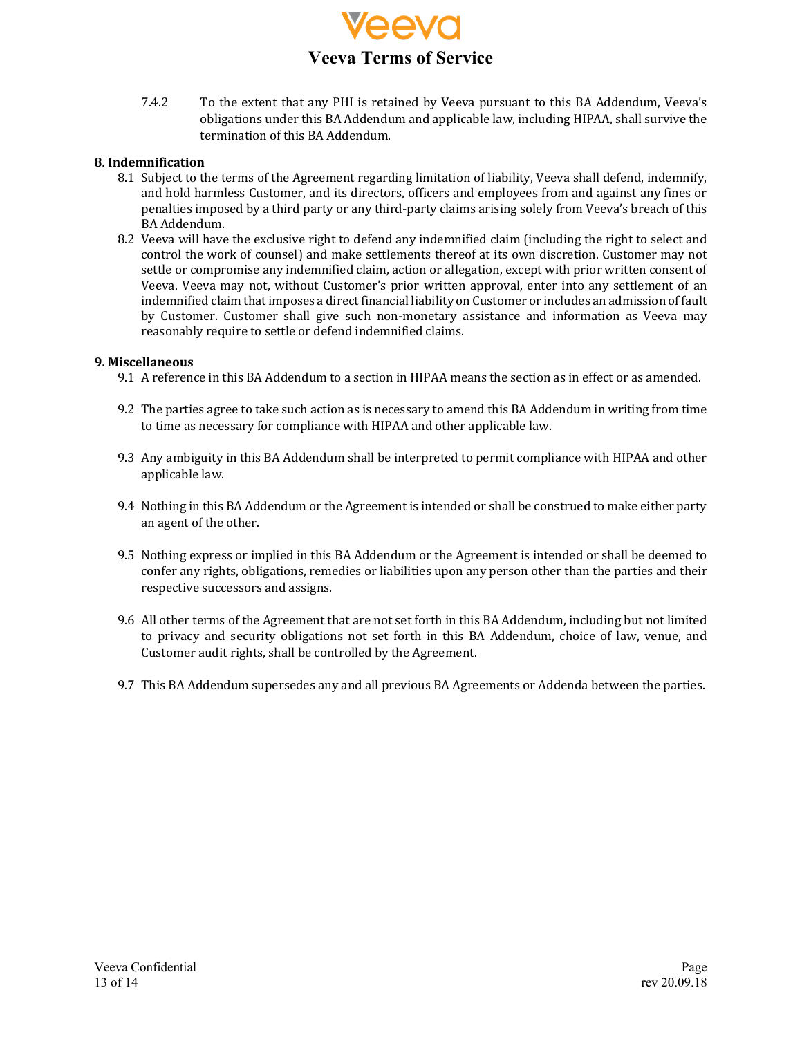

7.4.2 To the extent that any PHI is retained by Veeva pursuant to this BA Addendum, Veeva's obligations under this BA Addendum and applicable law, including HIPAA, shall survive the termination of this BA Addendum.

# **8. Indemnification**

- 8.1 Subject to the terms of the Agreement regarding limitation of liability, Veeva shall defend, indemnify, and hold harmless Customer, and its directors, officers and employees from and against any fines or penalties imposed by a third party or any third-party claims arising solely from Veeva's breach of this BA Addendum.
- 8.2 Veeva will have the exclusive right to defend any indemnified claim (including the right to select and control the work of counsel) and make settlements thereof at its own discretion. Customer may not settle or compromise any indemnified claim, action or allegation, except with prior written consent of Veeva. Veeva may not, without Customer's prior written approval, enter into any settlement of an indemnified claim that imposes a direct financial liability on Customer or includes an admission of fault by Customer. Customer shall give such non-monetary assistance and information as Veeva may reasonably require to settle or defend indemnified claims.

#### **9. Miscellaneous**

- 9.1 A reference in this BA Addendum to a section in HIPAA means the section as in effect or as amended.
- 9.2 The parties agree to take such action as is necessary to amend this BA Addendum in writing from time to time as necessary for compliance with HIPAA and other applicable law.
- 9.3 Any ambiguity in this BA Addendum shall be interpreted to permit compliance with HIPAA and other applicable law.
- 9.4 Nothing in this BA Addendum or the Agreement is intended or shall be construed to make either party an agent of the other.
- 9.5 Nothing express or implied in this BA Addendum or the Agreement is intended or shall be deemed to confer any rights, obligations, remedies or liabilities upon any person other than the parties and their respective successors and assigns.
- 9.6 All other terms of the Agreement that are not set forth in this BA Addendum, including but not limited to privacy and security obligations not set forth in this BA Addendum, choice of law, venue, and Customer audit rights, shall be controlled by the Agreement.
- 9.7 This BA Addendum supersedes any and all previous BA Agreements or Addenda between the parties.